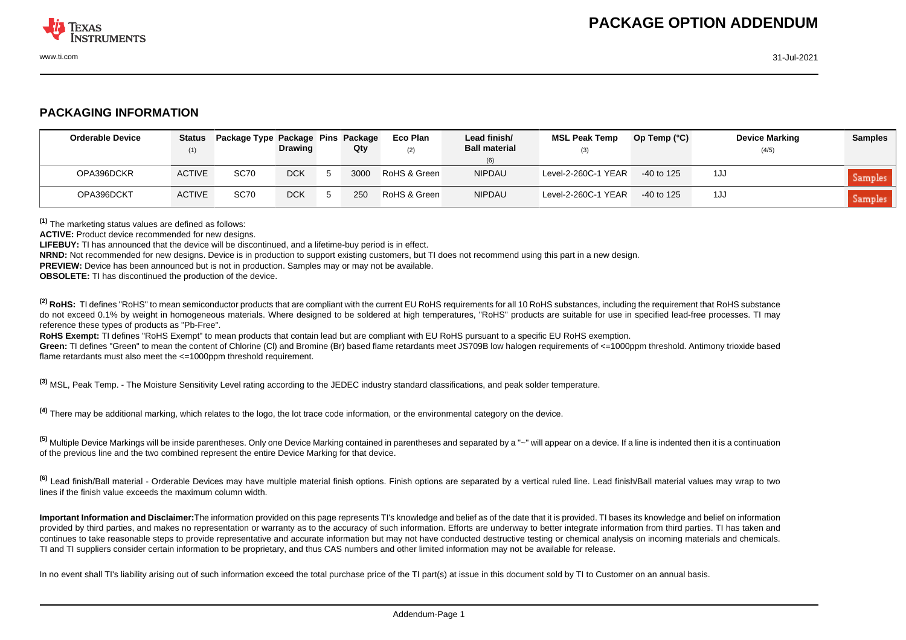

## **PACKAGING INFORMATION**

| <b>Orderable Device</b> | <b>Status</b><br>(1) | Package Type Package Pins Package | <b>Drawing</b> | Qty  | Eco Plan<br>(2) | Lead finish/<br><b>Ball material</b> | <b>MSL Peak Temp</b><br>(3) | Op Temp $(^{\circ}C)$ | <b>Device Marking</b><br>(4/5) | <b>Samples</b> |
|-------------------------|----------------------|-----------------------------------|----------------|------|-----------------|--------------------------------------|-----------------------------|-----------------------|--------------------------------|----------------|
|                         |                      |                                   |                |      |                 | (6)                                  |                             |                       |                                |                |
| OPA396DCKR              | <b>ACTIVE</b>        | SC70                              | <b>DCK</b>     | 3000 | RoHS & Green    | NIPDAU                               | Level-2-260C-1 YEAR         | $-40$ to 125          | 1JJ                            | Samples        |
| OPA396DCKT              | <b>ACTIVE</b>        | <b>SC70</b>                       | <b>DCK</b>     | 250  | RoHS & Green    | <b>NIPDAU</b>                        | Level-2-260C-1 YEAR         | $-40$ to 125          | 1JJ                            | <b>Samples</b> |

**(1)** The marketing status values are defined as follows:

**ACTIVE:** Product device recommended for new designs.

**LIFEBUY:** TI has announced that the device will be discontinued, and a lifetime-buy period is in effect.

**NRND:** Not recommended for new designs. Device is in production to support existing customers, but TI does not recommend using this part in a new design.

**PREVIEW:** Device has been announced but is not in production. Samples may or may not be available.

**OBSOLETE:** TI has discontinued the production of the device.

<sup>(2)</sup> RoHS: TI defines "RoHS" to mean semiconductor products that are compliant with the current EU RoHS requirements for all 10 RoHS substances, including the requirement that RoHS substance do not exceed 0.1% by weight in homogeneous materials. Where designed to be soldered at high temperatures. "RoHS" products are suitable for use in specified lead-free processes. TI may reference these types of products as "Pb-Free".

**RoHS Exempt:** TI defines "RoHS Exempt" to mean products that contain lead but are compliant with EU RoHS pursuant to a specific EU RoHS exemption.

Green: TI defines "Green" to mean the content of Chlorine (CI) and Bromine (Br) based flame retardants meet JS709B low halogen requirements of <=1000ppm threshold. Antimony trioxide based flame retardants must also meet the <=1000ppm threshold requirement.

**(3)** MSL, Peak Temp. - The Moisture Sensitivity Level rating according to the JEDEC industry standard classifications, and peak solder temperature.

**(4)** There may be additional marking, which relates to the logo, the lot trace code information, or the environmental category on the device.

**(5)** Multiple Device Markings will be inside parentheses. Only one Device Marking contained in parentheses and separated by a "~" will appear on a device. If a line is indented then it is a continuation of the previous line and the two combined represent the entire Device Marking for that device.

**(6)** Lead finish/Ball material - Orderable Devices may have multiple material finish options. Finish options are separated by a vertical ruled line. Lead finish/Ball material values may wrap to two lines if the finish value exceeds the maximum column width.

**Important Information and Disclaimer:**The information provided on this page represents TI's knowledge and belief as of the date that it is provided. TI bases its knowledge and belief on information provided by third parties, and makes no representation or warranty as to the accuracy of such information. Efforts are underway to better integrate information from third parties. TI has taken and continues to take reasonable steps to provide representative and accurate information but may not have conducted destructive testing or chemical analysis on incoming materials and chemicals. TI and TI suppliers consider certain information to be proprietary, and thus CAS numbers and other limited information may not be available for release.

In no event shall TI's liability arising out of such information exceed the total purchase price of the TI part(s) at issue in this document sold by TI to Customer on an annual basis.